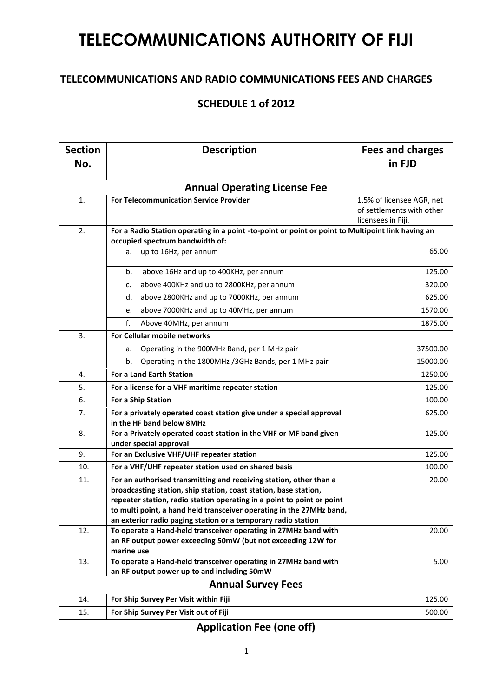## **TELECOMMUNICATIONS AUTHORITY OF FIJI**

## **TELECOMMUNICATIONS AND RADIO COMMUNICATIONS FEES AND CHARGES**

## **SCHEDULE 1 of 2012**

| <b>Section</b><br>No. | <b>Description</b>                                                                                                                                                                                                                                                                                                                                        | <b>Fees and charges</b><br>in FJD                                            |  |
|-----------------------|-----------------------------------------------------------------------------------------------------------------------------------------------------------------------------------------------------------------------------------------------------------------------------------------------------------------------------------------------------------|------------------------------------------------------------------------------|--|
|                       | <b>Annual Operating License Fee</b>                                                                                                                                                                                                                                                                                                                       |                                                                              |  |
| 1.                    | <b>For Telecommunication Service Provider</b>                                                                                                                                                                                                                                                                                                             | 1.5% of licensee AGR, net<br>of settlements with other<br>licensees in Fiji. |  |
| 2.                    | For a Radio Station operating in a point -to-point or point or point to Multipoint link having an<br>occupied spectrum bandwidth of:                                                                                                                                                                                                                      |                                                                              |  |
|                       | a. up to 16Hz, per annum                                                                                                                                                                                                                                                                                                                                  | 65.00                                                                        |  |
|                       | above 16Hz and up to 400KHz, per annum<br>b.                                                                                                                                                                                                                                                                                                              | 125.00                                                                       |  |
|                       | above 400KHz and up to 2800KHz, per annum<br>c.                                                                                                                                                                                                                                                                                                           | 320.00                                                                       |  |
|                       | above 2800KHz and up to 7000KHz, per annum<br>d.                                                                                                                                                                                                                                                                                                          | 625.00                                                                       |  |
|                       | above 7000KHz and up to 40MHz, per annum<br>e.                                                                                                                                                                                                                                                                                                            | 1570.00                                                                      |  |
|                       | f.<br>Above 40MHz, per annum                                                                                                                                                                                                                                                                                                                              | 1875.00                                                                      |  |
| 3.                    | For Cellular mobile networks                                                                                                                                                                                                                                                                                                                              |                                                                              |  |
|                       | Operating in the 900MHz Band, per 1 MHz pair<br>а.                                                                                                                                                                                                                                                                                                        | 37500.00                                                                     |  |
|                       | Operating in the 1800MHz /3GHz Bands, per 1 MHz pair<br>b.                                                                                                                                                                                                                                                                                                | 15000.00                                                                     |  |
| 4.                    | For a Land Earth Station                                                                                                                                                                                                                                                                                                                                  | 1250.00                                                                      |  |
| 5.                    | For a license for a VHF maritime repeater station                                                                                                                                                                                                                                                                                                         | 125.00                                                                       |  |
| 6.                    | For a Ship Station                                                                                                                                                                                                                                                                                                                                        | 100.00                                                                       |  |
| 7.                    | For a privately operated coast station give under a special approval<br>in the HF band below 8MHz                                                                                                                                                                                                                                                         | 625.00                                                                       |  |
| 8.                    | For a Privately operated coast station in the VHF or MF band given<br>under special approval                                                                                                                                                                                                                                                              | 125.00                                                                       |  |
| 9.                    | For an Exclusive VHF/UHF repeater station                                                                                                                                                                                                                                                                                                                 | 125.00                                                                       |  |
| 10.                   | For a VHF/UHF repeater station used on shared basis                                                                                                                                                                                                                                                                                                       | 100.00                                                                       |  |
| 11.                   | For an authorised transmitting and receiving station, other than a<br>broadcasting station, ship station, coast station, base station,<br>repeater station, radio station operating in a point to point or point<br>to multi point, a hand held transceiver operating in the 27MHz band,<br>an exterior radio paging station or a temporary radio station | 20.00                                                                        |  |
| 12.                   | To operate a Hand-held transceiver operating in 27MHz band with<br>an RF output power exceeding 50mW (but not exceeding 12W for<br>marine use                                                                                                                                                                                                             | 20.00                                                                        |  |
| 13.                   | To operate a Hand-held transceiver operating in 27MHz band with<br>an RF output power up to and including 50mW                                                                                                                                                                                                                                            | 5.00                                                                         |  |
|                       | <b>Annual Survey Fees</b>                                                                                                                                                                                                                                                                                                                                 |                                                                              |  |
| 14.                   | For Ship Survey Per Visit within Fiji                                                                                                                                                                                                                                                                                                                     | 125.00                                                                       |  |
| 15.                   | For Ship Survey Per Visit out of Fiji                                                                                                                                                                                                                                                                                                                     | 500.00                                                                       |  |
|                       | <b>Application Fee (one off)</b>                                                                                                                                                                                                                                                                                                                          |                                                                              |  |